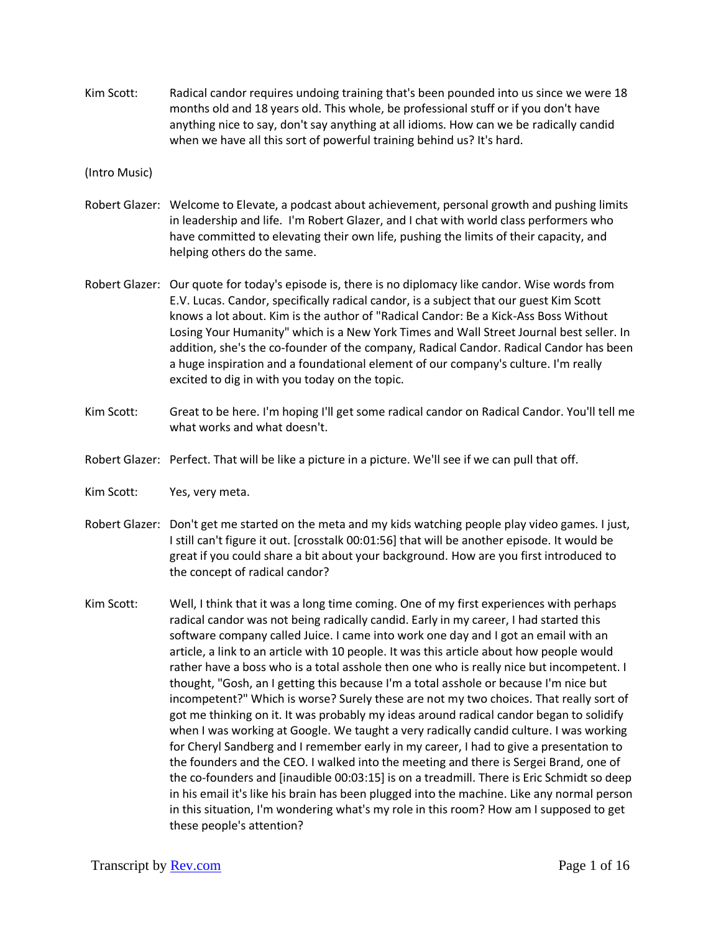Kim Scott: Radical candor requires undoing training that's been pounded into us since we were 18 months old and 18 years old. This whole, be professional stuff or if you don't have anything nice to say, don't say anything at all idioms. How can we be radically candid when we have all this sort of powerful training behind us? It's hard.

(Intro Music)

- Robert Glazer: Welcome to Elevate, a podcast about achievement, personal growth and pushing limits in leadership and life. I'm Robert Glazer, and I chat with world class performers who have committed to elevating their own life, pushing the limits of their capacity, and helping others do the same.
- Robert Glazer: Our quote for today's episode is, there is no diplomacy like candor. Wise words from E.V. Lucas. Candor, specifically radical candor, is a subject that our guest Kim Scott knows a lot about. Kim is the author of "Radical Candor: Be a Kick-Ass Boss Without Losing Your Humanity" which is a New York Times and Wall Street Journal best seller. In addition, she's the co-founder of the company, Radical Candor. Radical Candor has been a huge inspiration and a foundational element of our company's culture. I'm really excited to dig in with you today on the topic.
- Kim Scott: Great to be here. I'm hoping I'll get some radical candor on Radical Candor. You'll tell me what works and what doesn't.
- Robert Glazer: Perfect. That will be like a picture in a picture. We'll see if we can pull that off.
- Kim Scott: Yes, very meta.
- Robert Glazer: Don't get me started on the meta and my kids watching people play video games. I just, I still can't figure it out. [crosstalk 00:01:56] that will be another episode. It would be great if you could share a bit about your background. How are you first introduced to the concept of radical candor?
- Kim Scott: Well, I think that it was a long time coming. One of my first experiences with perhaps radical candor was not being radically candid. Early in my career, I had started this software company called Juice. I came into work one day and I got an email with an article, a link to an article with 10 people. It was this article about how people would rather have a boss who is a total asshole then one who is really nice but incompetent. I thought, "Gosh, an I getting this because I'm a total asshole or because I'm nice but incompetent?" Which is worse? Surely these are not my two choices. That really sort of got me thinking on it. It was probably my ideas around radical candor began to solidify when I was working at Google. We taught a very radically candid culture. I was working for Cheryl Sandberg and I remember early in my career, I had to give a presentation to the founders and the CEO. I walked into the meeting and there is Sergei Brand, one of the co-founders and [inaudible 00:03:15] is on a treadmill. There is Eric Schmidt so deep in his email it's like his brain has been plugged into the machine. Like any normal person in this situation, I'm wondering what's my role in this room? How am I supposed to get these people's attention?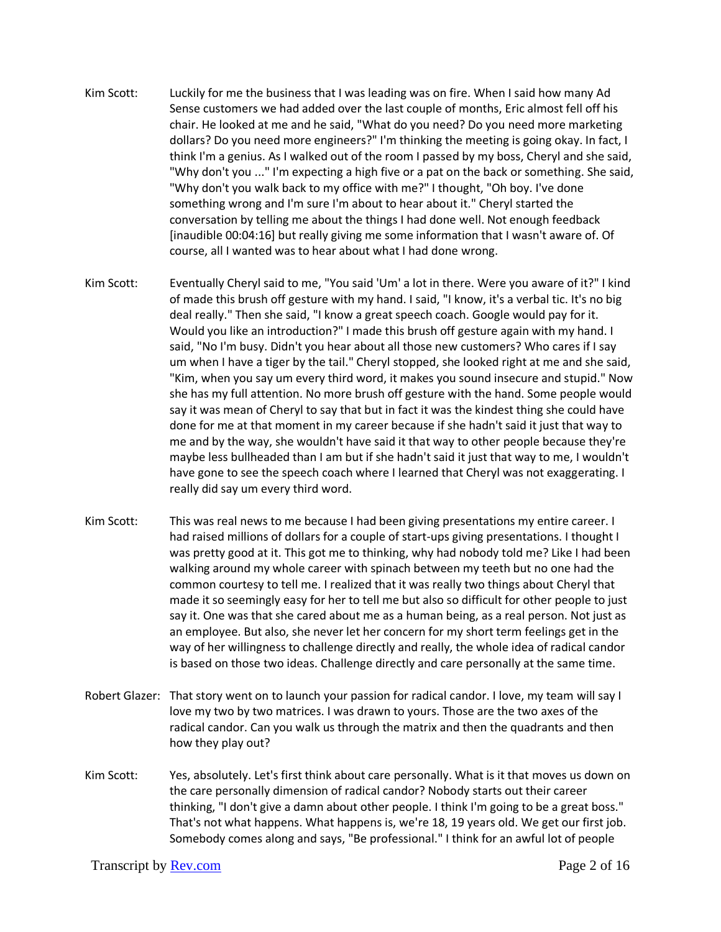- Kim Scott: Luckily for me the business that I was leading was on fire. When I said how many Ad Sense customers we had added over the last couple of months, Eric almost fell off his chair. He looked at me and he said, "What do you need? Do you need more marketing dollars? Do you need more engineers?" I'm thinking the meeting is going okay. In fact, I think I'm a genius. As I walked out of the room I passed by my boss, Cheryl and she said, "Why don't you ..." I'm expecting a high five or a pat on the back or something. She said, "Why don't you walk back to my office with me?" I thought, "Oh boy. I've done something wrong and I'm sure I'm about to hear about it." Cheryl started the conversation by telling me about the things I had done well. Not enough feedback [inaudible 00:04:16] but really giving me some information that I wasn't aware of. Of course, all I wanted was to hear about what I had done wrong.
- Kim Scott: Eventually Cheryl said to me, "You said 'Um' a lot in there. Were you aware of it?" I kind of made this brush off gesture with my hand. I said, "I know, it's a verbal tic. It's no big deal really." Then she said, "I know a great speech coach. Google would pay for it. Would you like an introduction?" I made this brush off gesture again with my hand. I said, "No I'm busy. Didn't you hear about all those new customers? Who cares if I say um when I have a tiger by the tail." Cheryl stopped, she looked right at me and she said, "Kim, when you say um every third word, it makes you sound insecure and stupid." Now she has my full attention. No more brush off gesture with the hand. Some people would say it was mean of Cheryl to say that but in fact it was the kindest thing she could have done for me at that moment in my career because if she hadn't said it just that way to me and by the way, she wouldn't have said it that way to other people because they're maybe less bullheaded than I am but if she hadn't said it just that way to me, I wouldn't have gone to see the speech coach where I learned that Cheryl was not exaggerating. I really did say um every third word.
- Kim Scott: This was real news to me because I had been giving presentations my entire career. I had raised millions of dollars for a couple of start-ups giving presentations. I thought I was pretty good at it. This got me to thinking, why had nobody told me? Like I had been walking around my whole career with spinach between my teeth but no one had the common courtesy to tell me. I realized that it was really two things about Cheryl that made it so seemingly easy for her to tell me but also so difficult for other people to just say it. One was that she cared about me as a human being, as a real person. Not just as an employee. But also, she never let her concern for my short term feelings get in the way of her willingness to challenge directly and really, the whole idea of radical candor is based on those two ideas. Challenge directly and care personally at the same time.
- Robert Glazer: That story went on to launch your passion for radical candor. I love, my team will say I love my two by two matrices. I was drawn to yours. Those are the two axes of the radical candor. Can you walk us through the matrix and then the quadrants and then how they play out?
- Kim Scott: Yes, absolutely. Let's first think about care personally. What is it that moves us down on the care personally dimension of radical candor? Nobody starts out their career thinking, "I don't give a damn about other people. I think I'm going to be a great boss." That's not what happens. What happens is, we're 18, 19 years old. We get our first job. Somebody comes along and says, "Be professional." I think for an awful lot of people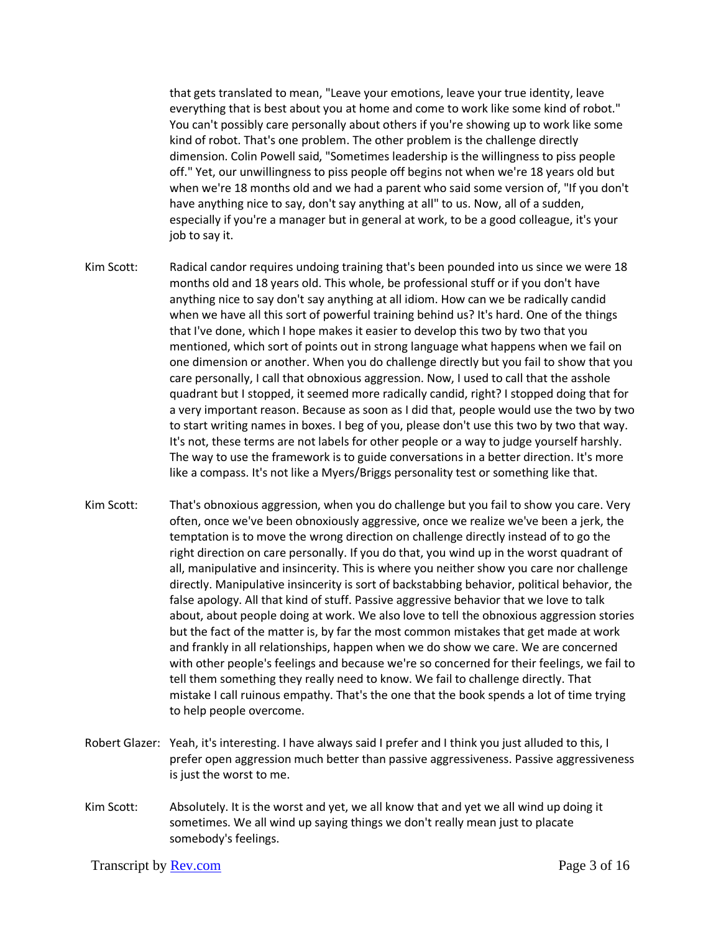that gets translated to mean, "Leave your emotions, leave your true identity, leave everything that is best about you at home and come to work like some kind of robot." You can't possibly care personally about others if you're showing up to work like some kind of robot. That's one problem. The other problem is the challenge directly dimension. Colin Powell said, "Sometimes leadership is the willingness to piss people off." Yet, our unwillingness to piss people off begins not when we're 18 years old but when we're 18 months old and we had a parent who said some version of, "If you don't have anything nice to say, don't say anything at all" to us. Now, all of a sudden, especially if you're a manager but in general at work, to be a good colleague, it's your job to say it.

- Kim Scott: Radical candor requires undoing training that's been pounded into us since we were 18 months old and 18 years old. This whole, be professional stuff or if you don't have anything nice to say don't say anything at all idiom. How can we be radically candid when we have all this sort of powerful training behind us? It's hard. One of the things that I've done, which I hope makes it easier to develop this two by two that you mentioned, which sort of points out in strong language what happens when we fail on one dimension or another. When you do challenge directly but you fail to show that you care personally, I call that obnoxious aggression. Now, I used to call that the asshole quadrant but I stopped, it seemed more radically candid, right? I stopped doing that for a very important reason. Because as soon as I did that, people would use the two by two to start writing names in boxes. I beg of you, please don't use this two by two that way. It's not, these terms are not labels for other people or a way to judge yourself harshly. The way to use the framework is to guide conversations in a better direction. It's more like a compass. It's not like a Myers/Briggs personality test or something like that.
- Kim Scott: That's obnoxious aggression, when you do challenge but you fail to show you care. Very often, once we've been obnoxiously aggressive, once we realize we've been a jerk, the temptation is to move the wrong direction on challenge directly instead of to go the right direction on care personally. If you do that, you wind up in the worst quadrant of all, manipulative and insincerity. This is where you neither show you care nor challenge directly. Manipulative insincerity is sort of backstabbing behavior, political behavior, the false apology. All that kind of stuff. Passive aggressive behavior that we love to talk about, about people doing at work. We also love to tell the obnoxious aggression stories but the fact of the matter is, by far the most common mistakes that get made at work and frankly in all relationships, happen when we do show we care. We are concerned with other people's feelings and because we're so concerned for their feelings, we fail to tell them something they really need to know. We fail to challenge directly. That mistake I call ruinous empathy. That's the one that the book spends a lot of time trying to help people overcome.
- Robert Glazer: Yeah, it's interesting. I have always said I prefer and I think you just alluded to this, I prefer open aggression much better than passive aggressiveness. Passive aggressiveness is just the worst to me.
- Kim Scott: Absolutely. It is the worst and yet, we all know that and yet we all wind up doing it sometimes. We all wind up saying things we don't really mean just to placate somebody's feelings.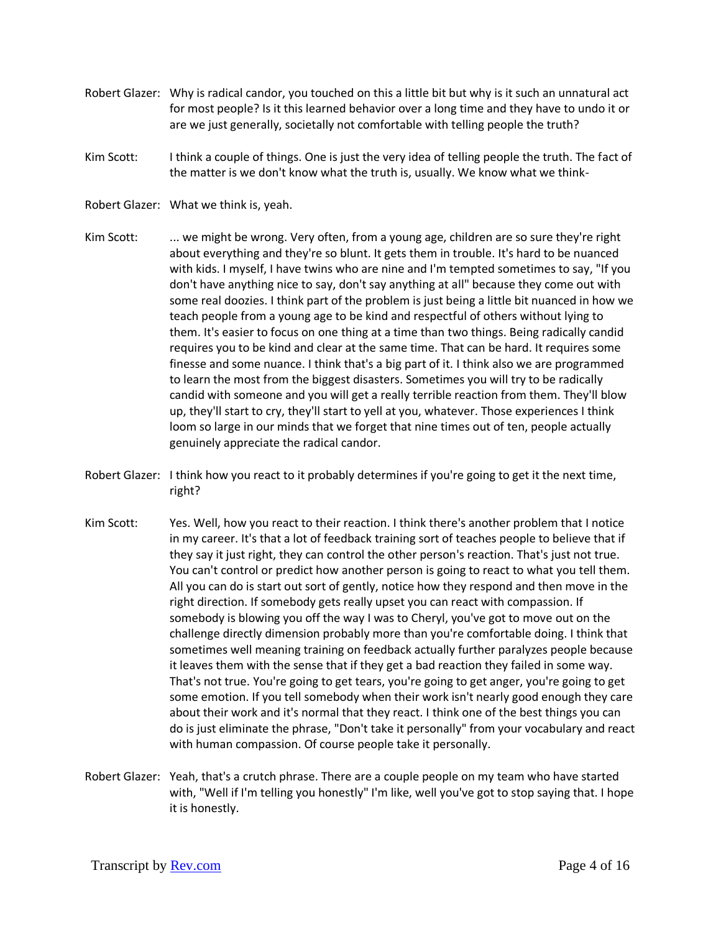- Robert Glazer: Why is radical candor, you touched on this a little bit but why is it such an unnatural act for most people? Is it this learned behavior over a long time and they have to undo it or are we just generally, societally not comfortable with telling people the truth?
- Kim Scott: I think a couple of things. One is just the very idea of telling people the truth. The fact of the matter is we don't know what the truth is, usually. We know what we think-
- Robert Glazer: What we think is, yeah.
- Kim Scott: ... we might be wrong. Very often, from a young age, children are so sure they're right about everything and they're so blunt. It gets them in trouble. It's hard to be nuanced with kids. I myself, I have twins who are nine and I'm tempted sometimes to say, "If you don't have anything nice to say, don't say anything at all" because they come out with some real doozies. I think part of the problem is just being a little bit nuanced in how we teach people from a young age to be kind and respectful of others without lying to them. It's easier to focus on one thing at a time than two things. Being radically candid requires you to be kind and clear at the same time. That can be hard. It requires some finesse and some nuance. I think that's a big part of it. I think also we are programmed to learn the most from the biggest disasters. Sometimes you will try to be radically candid with someone and you will get a really terrible reaction from them. They'll blow up, they'll start to cry, they'll start to yell at you, whatever. Those experiences I think loom so large in our minds that we forget that nine times out of ten, people actually genuinely appreciate the radical candor.
- Robert Glazer: I think how you react to it probably determines if you're going to get it the next time, right?
- Kim Scott: Yes. Well, how you react to their reaction. I think there's another problem that I notice in my career. It's that a lot of feedback training sort of teaches people to believe that if they say it just right, they can control the other person's reaction. That's just not true. You can't control or predict how another person is going to react to what you tell them. All you can do is start out sort of gently, notice how they respond and then move in the right direction. If somebody gets really upset you can react with compassion. If somebody is blowing you off the way I was to Cheryl, you've got to move out on the challenge directly dimension probably more than you're comfortable doing. I think that sometimes well meaning training on feedback actually further paralyzes people because it leaves them with the sense that if they get a bad reaction they failed in some way. That's not true. You're going to get tears, you're going to get anger, you're going to get some emotion. If you tell somebody when their work isn't nearly good enough they care about their work and it's normal that they react. I think one of the best things you can do is just eliminate the phrase, "Don't take it personally" from your vocabulary and react with human compassion. Of course people take it personally.
- Robert Glazer: Yeah, that's a crutch phrase. There are a couple people on my team who have started with, "Well if I'm telling you honestly" I'm like, well you've got to stop saying that. I hope it is honestly.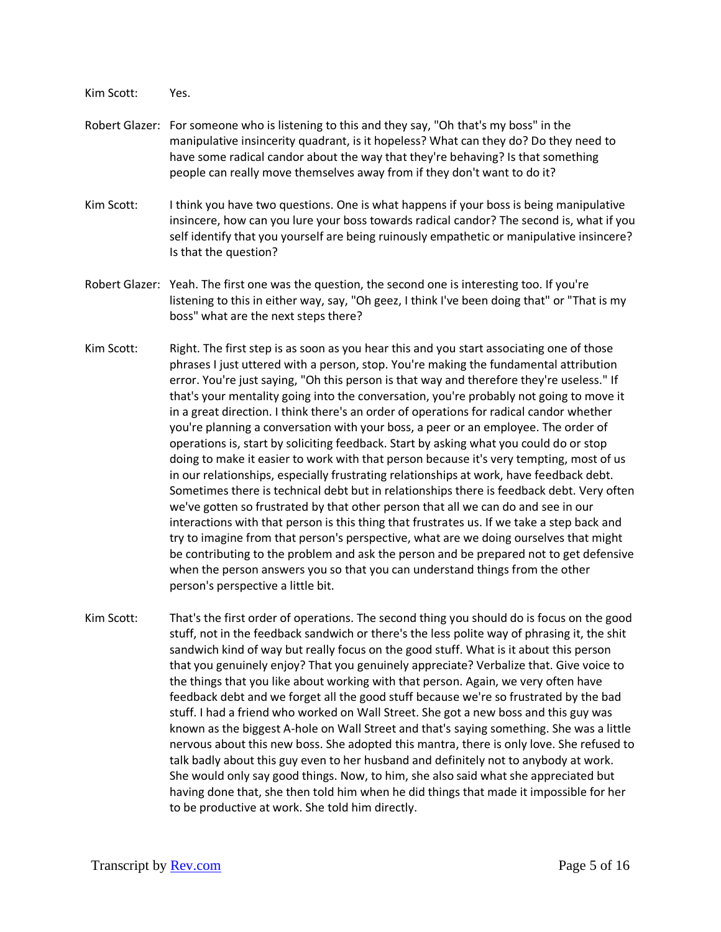Kim Scott: Yes.

- Robert Glazer: For someone who is listening to this and they say, "Oh that's my boss" in the manipulative insincerity quadrant, is it hopeless? What can they do? Do they need to have some radical candor about the way that they're behaving? Is that something people can really move themselves away from if they don't want to do it?
- Kim Scott: I think you have two questions. One is what happens if your boss is being manipulative insincere, how can you lure your boss towards radical candor? The second is, what if you self identify that you yourself are being ruinously empathetic or manipulative insincere? Is that the question?
- Robert Glazer: Yeah. The first one was the question, the second one is interesting too. If you're listening to this in either way, say, "Oh geez, I think I've been doing that" or "That is my boss" what are the next steps there?
- Kim Scott: Right. The first step is as soon as you hear this and you start associating one of those phrases I just uttered with a person, stop. You're making the fundamental attribution error. You're just saying, "Oh this person is that way and therefore they're useless." If that's your mentality going into the conversation, you're probably not going to move it in a great direction. I think there's an order of operations for radical candor whether you're planning a conversation with your boss, a peer or an employee. The order of operations is, start by soliciting feedback. Start by asking what you could do or stop doing to make it easier to work with that person because it's very tempting, most of us in our relationships, especially frustrating relationships at work, have feedback debt. Sometimes there is technical debt but in relationships there is feedback debt. Very often we've gotten so frustrated by that other person that all we can do and see in our interactions with that person is this thing that frustrates us. If we take a step back and try to imagine from that person's perspective, what are we doing ourselves that might be contributing to the problem and ask the person and be prepared not to get defensive when the person answers you so that you can understand things from the other person's perspective a little bit.
- Kim Scott: That's the first order of operations. The second thing you should do is focus on the good stuff, not in the feedback sandwich or there's the less polite way of phrasing it, the shit sandwich kind of way but really focus on the good stuff. What is it about this person that you genuinely enjoy? That you genuinely appreciate? Verbalize that. Give voice to the things that you like about working with that person. Again, we very often have feedback debt and we forget all the good stuff because we're so frustrated by the bad stuff. I had a friend who worked on Wall Street. She got a new boss and this guy was known as the biggest A-hole on Wall Street and that's saying something. She was a little nervous about this new boss. She adopted this mantra, there is only love. She refused to talk badly about this guy even to her husband and definitely not to anybody at work. She would only say good things. Now, to him, she also said what she appreciated but having done that, she then told him when he did things that made it impossible for her to be productive at work. She told him directly.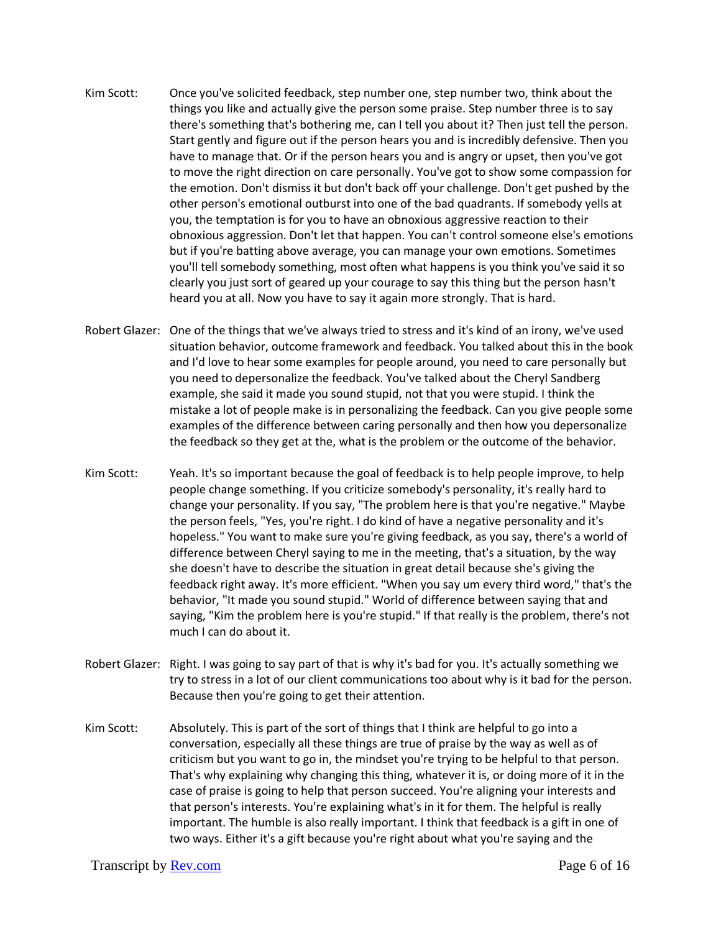- Kim Scott: Once you've solicited feedback, step number one, step number two, think about the things you like and actually give the person some praise. Step number three is to say there's something that's bothering me, can I tell you about it? Then just tell the person. Start gently and figure out if the person hears you and is incredibly defensive. Then you have to manage that. Or if the person hears you and is angry or upset, then you've got to move the right direction on care personally. You've got to show some compassion for the emotion. Don't dismiss it but don't back off your challenge. Don't get pushed by the other person's emotional outburst into one of the bad quadrants. If somebody yells at you, the temptation is for you to have an obnoxious aggressive reaction to their obnoxious aggression. Don't let that happen. You can't control someone else's emotions but if you're batting above average, you can manage your own emotions. Sometimes you'll tell somebody something, most often what happens is you think you've said it so clearly you just sort of geared up your courage to say this thing but the person hasn't heard you at all. Now you have to say it again more strongly. That is hard.
- Robert Glazer: One of the things that we've always tried to stress and it's kind of an irony, we've used situation behavior, outcome framework and feedback. You talked about this in the book and I'd love to hear some examples for people around, you need to care personally but you need to depersonalize the feedback. You've talked about the Cheryl Sandberg example, she said it made you sound stupid, not that you were stupid. I think the mistake a lot of people make is in personalizing the feedback. Can you give people some examples of the difference between caring personally and then how you depersonalize the feedback so they get at the, what is the problem or the outcome of the behavior.
- Kim Scott: Yeah. It's so important because the goal of feedback is to help people improve, to help people change something. If you criticize somebody's personality, it's really hard to change your personality. If you say, "The problem here is that you're negative." Maybe the person feels, "Yes, you're right. I do kind of have a negative personality and it's hopeless." You want to make sure you're giving feedback, as you say, there's a world of difference between Cheryl saying to me in the meeting, that's a situation, by the way she doesn't have to describe the situation in great detail because she's giving the feedback right away. It's more efficient. "When you say um every third word," that's the behavior, "It made you sound stupid." World of difference between saying that and saying, "Kim the problem here is you're stupid." If that really is the problem, there's not much I can do about it.
- Robert Glazer: Right. I was going to say part of that is why it's bad for you. It's actually something we try to stress in a lot of our client communications too about why is it bad for the person. Because then you're going to get their attention.
- Kim Scott: Absolutely. This is part of the sort of things that I think are helpful to go into a conversation, especially all these things are true of praise by the way as well as of criticism but you want to go in, the mindset you're trying to be helpful to that person. That's why explaining why changing this thing, whatever it is, or doing more of it in the case of praise is going to help that person succeed. You're aligning your interests and that person's interests. You're explaining what's in it for them. The helpful is really important. The humble is also really important. I think that feedback is a gift in one of two ways. Either it's a gift because you're right about what you're saying and the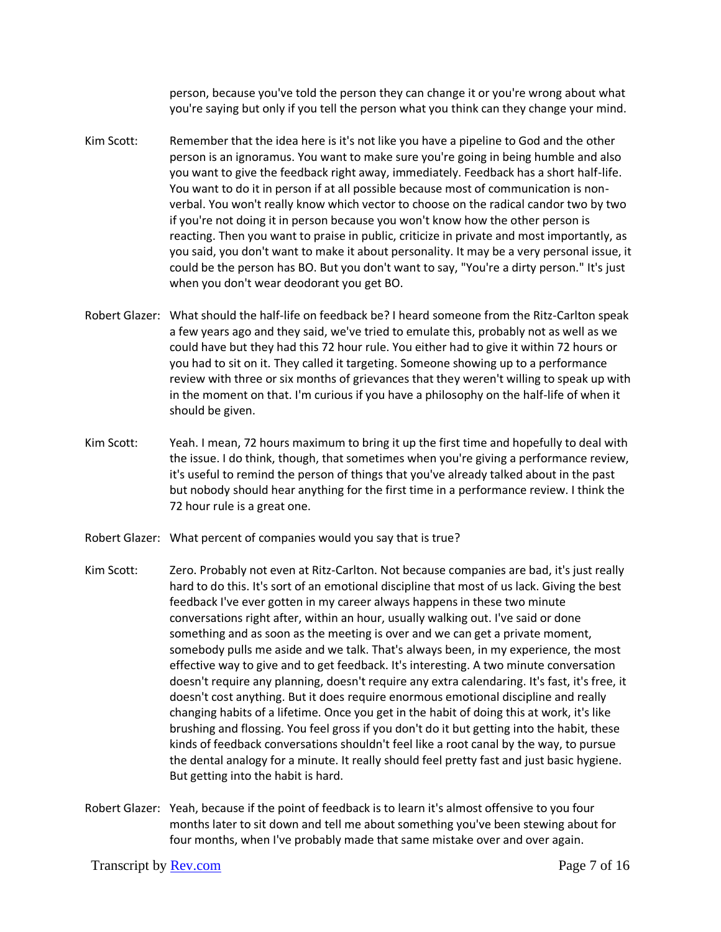person, because you've told the person they can change it or you're wrong about what you're saying but only if you tell the person what you think can they change your mind.

- Kim Scott: Remember that the idea here is it's not like you have a pipeline to God and the other person is an ignoramus. You want to make sure you're going in being humble and also you want to give the feedback right away, immediately. Feedback has a short half-life. You want to do it in person if at all possible because most of communication is nonverbal. You won't really know which vector to choose on the radical candor two by two if you're not doing it in person because you won't know how the other person is reacting. Then you want to praise in public, criticize in private and most importantly, as you said, you don't want to make it about personality. It may be a very personal issue, it could be the person has BO. But you don't want to say, "You're a dirty person." It's just when you don't wear deodorant you get BO.
- Robert Glazer: What should the half-life on feedback be? I heard someone from the Ritz-Carlton speak a few years ago and they said, we've tried to emulate this, probably not as well as we could have but they had this 72 hour rule. You either had to give it within 72 hours or you had to sit on it. They called it targeting. Someone showing up to a performance review with three or six months of grievances that they weren't willing to speak up with in the moment on that. I'm curious if you have a philosophy on the half-life of when it should be given.
- Kim Scott: Yeah. I mean, 72 hours maximum to bring it up the first time and hopefully to deal with the issue. I do think, though, that sometimes when you're giving a performance review, it's useful to remind the person of things that you've already talked about in the past but nobody should hear anything for the first time in a performance review. I think the 72 hour rule is a great one.
- Robert Glazer: What percent of companies would you say that is true?
- Kim Scott: Zero. Probably not even at Ritz-Carlton. Not because companies are bad, it's just really hard to do this. It's sort of an emotional discipline that most of us lack. Giving the best feedback I've ever gotten in my career always happens in these two minute conversations right after, within an hour, usually walking out. I've said or done something and as soon as the meeting is over and we can get a private moment, somebody pulls me aside and we talk. That's always been, in my experience, the most effective way to give and to get feedback. It's interesting. A two minute conversation doesn't require any planning, doesn't require any extra calendaring. It's fast, it's free, it doesn't cost anything. But it does require enormous emotional discipline and really changing habits of a lifetime. Once you get in the habit of doing this at work, it's like brushing and flossing. You feel gross if you don't do it but getting into the habit, these kinds of feedback conversations shouldn't feel like a root canal by the way, to pursue the dental analogy for a minute. It really should feel pretty fast and just basic hygiene. But getting into the habit is hard.
- Robert Glazer: Yeah, because if the point of feedback is to learn it's almost offensive to you four months later to sit down and tell me about something you've been stewing about for four months, when I've probably made that same mistake over and over again.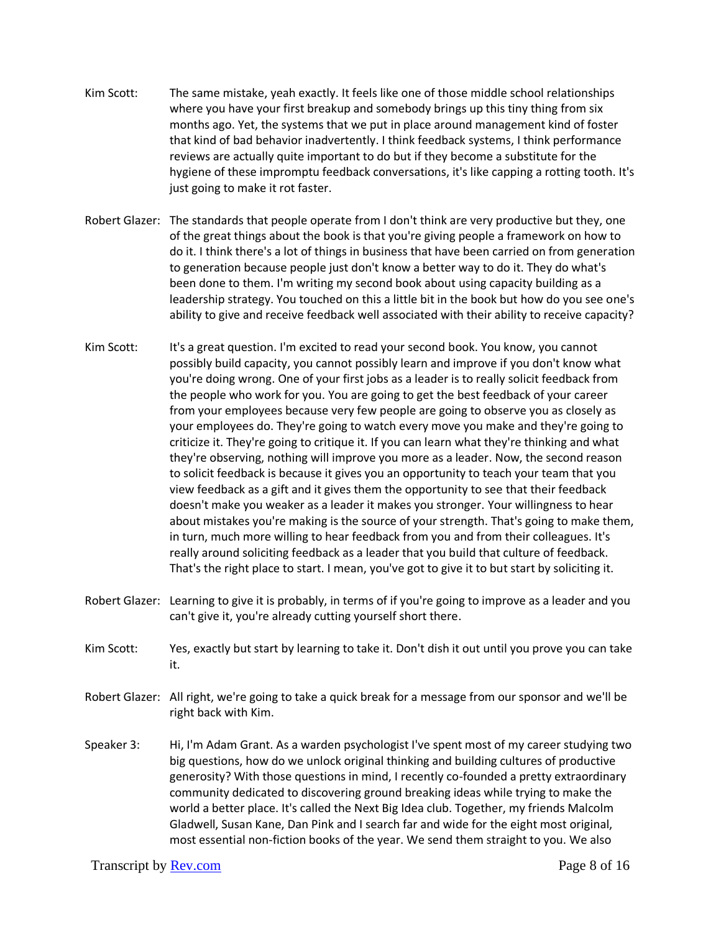- Kim Scott: The same mistake, yeah exactly. It feels like one of those middle school relationships where you have your first breakup and somebody brings up this tiny thing from six months ago. Yet, the systems that we put in place around management kind of foster that kind of bad behavior inadvertently. I think feedback systems, I think performance reviews are actually quite important to do but if they become a substitute for the hygiene of these impromptu feedback conversations, it's like capping a rotting tooth. It's just going to make it rot faster.
- Robert Glazer: The standards that people operate from I don't think are very productive but they, one of the great things about the book is that you're giving people a framework on how to do it. I think there's a lot of things in business that have been carried on from generation to generation because people just don't know a better way to do it. They do what's been done to them. I'm writing my second book about using capacity building as a leadership strategy. You touched on this a little bit in the book but how do you see one's ability to give and receive feedback well associated with their ability to receive capacity?
- Kim Scott: It's a great question. I'm excited to read your second book. You know, you cannot possibly build capacity, you cannot possibly learn and improve if you don't know what you're doing wrong. One of your first jobs as a leader is to really solicit feedback from the people who work for you. You are going to get the best feedback of your career from your employees because very few people are going to observe you as closely as your employees do. They're going to watch every move you make and they're going to criticize it. They're going to critique it. If you can learn what they're thinking and what they're observing, nothing will improve you more as a leader. Now, the second reason to solicit feedback is because it gives you an opportunity to teach your team that you view feedback as a gift and it gives them the opportunity to see that their feedback doesn't make you weaker as a leader it makes you stronger. Your willingness to hear about mistakes you're making is the source of your strength. That's going to make them, in turn, much more willing to hear feedback from you and from their colleagues. It's really around soliciting feedback as a leader that you build that culture of feedback. That's the right place to start. I mean, you've got to give it to but start by soliciting it.
- Robert Glazer: Learning to give it is probably, in terms of if you're going to improve as a leader and you can't give it, you're already cutting yourself short there.
- Kim Scott: Yes, exactly but start by learning to take it. Don't dish it out until you prove you can take it.
- Robert Glazer: All right, we're going to take a quick break for a message from our sponsor and we'll be right back with Kim.
- Speaker 3: Hi, I'm Adam Grant. As a warden psychologist I've spent most of my career studying two big questions, how do we unlock original thinking and building cultures of productive generosity? With those questions in mind, I recently co-founded a pretty extraordinary community dedicated to discovering ground breaking ideas while trying to make the world a better place. It's called the Next Big Idea club. Together, my friends Malcolm Gladwell, Susan Kane, Dan Pink and I search far and wide for the eight most original, most essential non-fiction books of the year. We send them straight to you. We also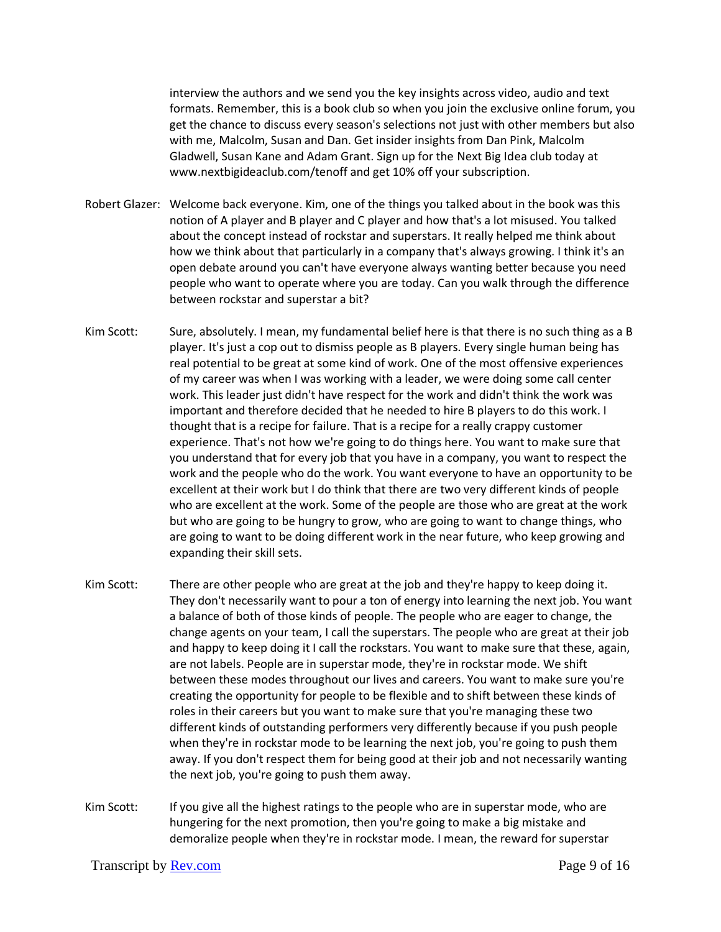interview the authors and we send you the key insights across video, audio and text formats. Remember, this is a book club so when you join the exclusive online forum, you get the chance to discuss every season's selections not just with other members but also with me, Malcolm, Susan and Dan. Get insider insights from Dan Pink, Malcolm Gladwell, Susan Kane and Adam Grant. Sign up for the Next Big Idea club today at www.nextbigideaclub.com/tenoff and get 10% off your subscription.

- Robert Glazer: Welcome back everyone. Kim, one of the things you talked about in the book was this notion of A player and B player and C player and how that's a lot misused. You talked about the concept instead of rockstar and superstars. It really helped me think about how we think about that particularly in a company that's always growing. I think it's an open debate around you can't have everyone always wanting better because you need people who want to operate where you are today. Can you walk through the difference between rockstar and superstar a bit?
- Kim Scott: Sure, absolutely. I mean, my fundamental belief here is that there is no such thing as a B player. It's just a cop out to dismiss people as B players. Every single human being has real potential to be great at some kind of work. One of the most offensive experiences of my career was when I was working with a leader, we were doing some call center work. This leader just didn't have respect for the work and didn't think the work was important and therefore decided that he needed to hire B players to do this work. I thought that is a recipe for failure. That is a recipe for a really crappy customer experience. That's not how we're going to do things here. You want to make sure that you understand that for every job that you have in a company, you want to respect the work and the people who do the work. You want everyone to have an opportunity to be excellent at their work but I do think that there are two very different kinds of people who are excellent at the work. Some of the people are those who are great at the work but who are going to be hungry to grow, who are going to want to change things, who are going to want to be doing different work in the near future, who keep growing and expanding their skill sets.
- Kim Scott: There are other people who are great at the job and they're happy to keep doing it. They don't necessarily want to pour a ton of energy into learning the next job. You want a balance of both of those kinds of people. The people who are eager to change, the change agents on your team, I call the superstars. The people who are great at their job and happy to keep doing it I call the rockstars. You want to make sure that these, again, are not labels. People are in superstar mode, they're in rockstar mode. We shift between these modes throughout our lives and careers. You want to make sure you're creating the opportunity for people to be flexible and to shift between these kinds of roles in their careers but you want to make sure that you're managing these two different kinds of outstanding performers very differently because if you push people when they're in rockstar mode to be learning the next job, you're going to push them away. If you don't respect them for being good at their job and not necessarily wanting the next job, you're going to push them away.
- Kim Scott: If you give all the highest ratings to the people who are in superstar mode, who are hungering for the next promotion, then you're going to make a big mistake and demoralize people when they're in rockstar mode. I mean, the reward for superstar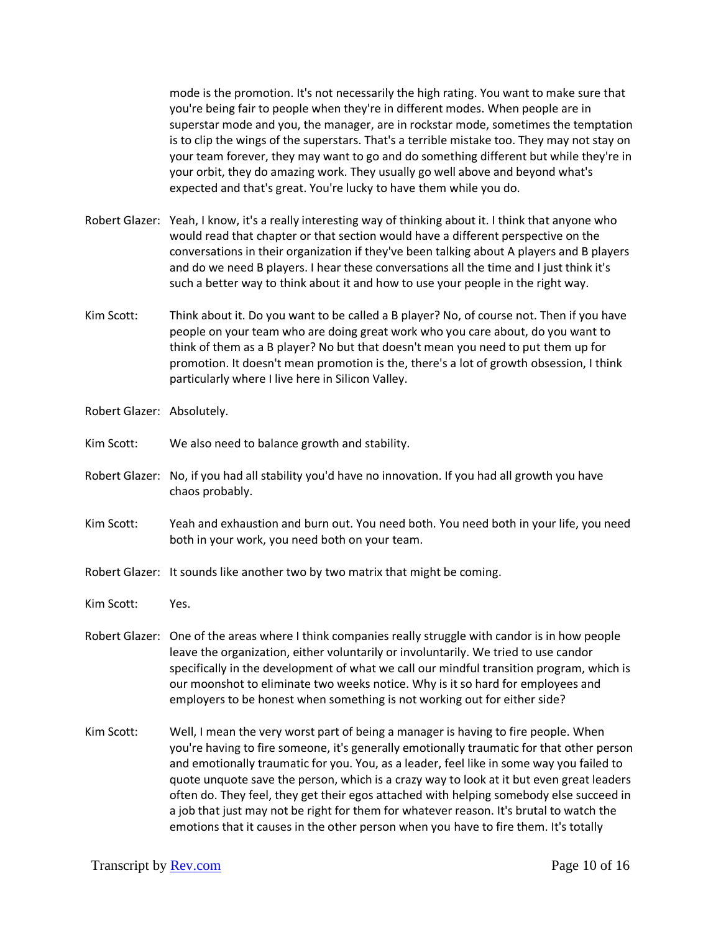mode is the promotion. It's not necessarily the high rating. You want to make sure that you're being fair to people when they're in different modes. When people are in superstar mode and you, the manager, are in rockstar mode, sometimes the temptation is to clip the wings of the superstars. That's a terrible mistake too. They may not stay on your team forever, they may want to go and do something different but while they're in your orbit, they do amazing work. They usually go well above and beyond what's expected and that's great. You're lucky to have them while you do.

- Robert Glazer: Yeah, I know, it's a really interesting way of thinking about it. I think that anyone who would read that chapter or that section would have a different perspective on the conversations in their organization if they've been talking about A players and B players and do we need B players. I hear these conversations all the time and I just think it's such a better way to think about it and how to use your people in the right way.
- Kim Scott: Think about it. Do you want to be called a B player? No, of course not. Then if you have people on your team who are doing great work who you care about, do you want to think of them as a B player? No but that doesn't mean you need to put them up for promotion. It doesn't mean promotion is the, there's a lot of growth obsession, I think particularly where I live here in Silicon Valley.
- Robert Glazer: Absolutely.
- Kim Scott: We also need to balance growth and stability.
- Robert Glazer: No, if you had all stability you'd have no innovation. If you had all growth you have chaos probably.
- Kim Scott: Yeah and exhaustion and burn out. You need both. You need both in your life, you need both in your work, you need both on your team.
- Robert Glazer: It sounds like another two by two matrix that might be coming.
- Kim Scott: Yes.
- Robert Glazer: One of the areas where I think companies really struggle with candor is in how people leave the organization, either voluntarily or involuntarily. We tried to use candor specifically in the development of what we call our mindful transition program, which is our moonshot to eliminate two weeks notice. Why is it so hard for employees and employers to be honest when something is not working out for either side?
- Kim Scott: Well, I mean the very worst part of being a manager is having to fire people. When you're having to fire someone, it's generally emotionally traumatic for that other person and emotionally traumatic for you. You, as a leader, feel like in some way you failed to quote unquote save the person, which is a crazy way to look at it but even great leaders often do. They feel, they get their egos attached with helping somebody else succeed in a job that just may not be right for them for whatever reason. It's brutal to watch the emotions that it causes in the other person when you have to fire them. It's totally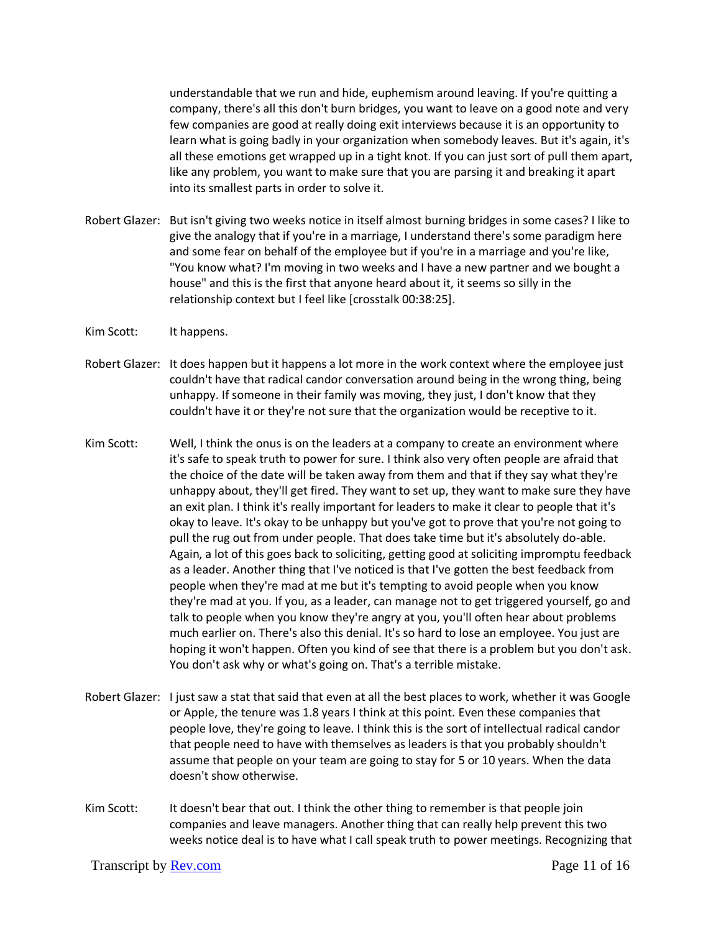understandable that we run and hide, euphemism around leaving. If you're quitting a company, there's all this don't burn bridges, you want to leave on a good note and very few companies are good at really doing exit interviews because it is an opportunity to learn what is going badly in your organization when somebody leaves. But it's again, it's all these emotions get wrapped up in a tight knot. If you can just sort of pull them apart, like any problem, you want to make sure that you are parsing it and breaking it apart into its smallest parts in order to solve it.

- Robert Glazer: But isn't giving two weeks notice in itself almost burning bridges in some cases? I like to give the analogy that if you're in a marriage, I understand there's some paradigm here and some fear on behalf of the employee but if you're in a marriage and you're like, "You know what? I'm moving in two weeks and I have a new partner and we bought a house" and this is the first that anyone heard about it, it seems so silly in the relationship context but I feel like [crosstalk 00:38:25].
- Kim Scott: It happens.
- Robert Glazer: It does happen but it happens a lot more in the work context where the employee just couldn't have that radical candor conversation around being in the wrong thing, being unhappy. If someone in their family was moving, they just, I don't know that they couldn't have it or they're not sure that the organization would be receptive to it.
- Kim Scott: Well, I think the onus is on the leaders at a company to create an environment where it's safe to speak truth to power for sure. I think also very often people are afraid that the choice of the date will be taken away from them and that if they say what they're unhappy about, they'll get fired. They want to set up, they want to make sure they have an exit plan. I think it's really important for leaders to make it clear to people that it's okay to leave. It's okay to be unhappy but you've got to prove that you're not going to pull the rug out from under people. That does take time but it's absolutely do-able. Again, a lot of this goes back to soliciting, getting good at soliciting impromptu feedback as a leader. Another thing that I've noticed is that I've gotten the best feedback from people when they're mad at me but it's tempting to avoid people when you know they're mad at you. If you, as a leader, can manage not to get triggered yourself, go and talk to people when you know they're angry at you, you'll often hear about problems much earlier on. There's also this denial. It's so hard to lose an employee. You just are hoping it won't happen. Often you kind of see that there is a problem but you don't ask. You don't ask why or what's going on. That's a terrible mistake.
- Robert Glazer: I just saw a stat that said that even at all the best places to work, whether it was Google or Apple, the tenure was 1.8 years I think at this point. Even these companies that people love, they're going to leave. I think this is the sort of intellectual radical candor that people need to have with themselves as leaders is that you probably shouldn't assume that people on your team are going to stay for 5 or 10 years. When the data doesn't show otherwise.
- Kim Scott: It doesn't bear that out. I think the other thing to remember is that people join companies and leave managers. Another thing that can really help prevent this two weeks notice deal is to have what I call speak truth to power meetings. Recognizing that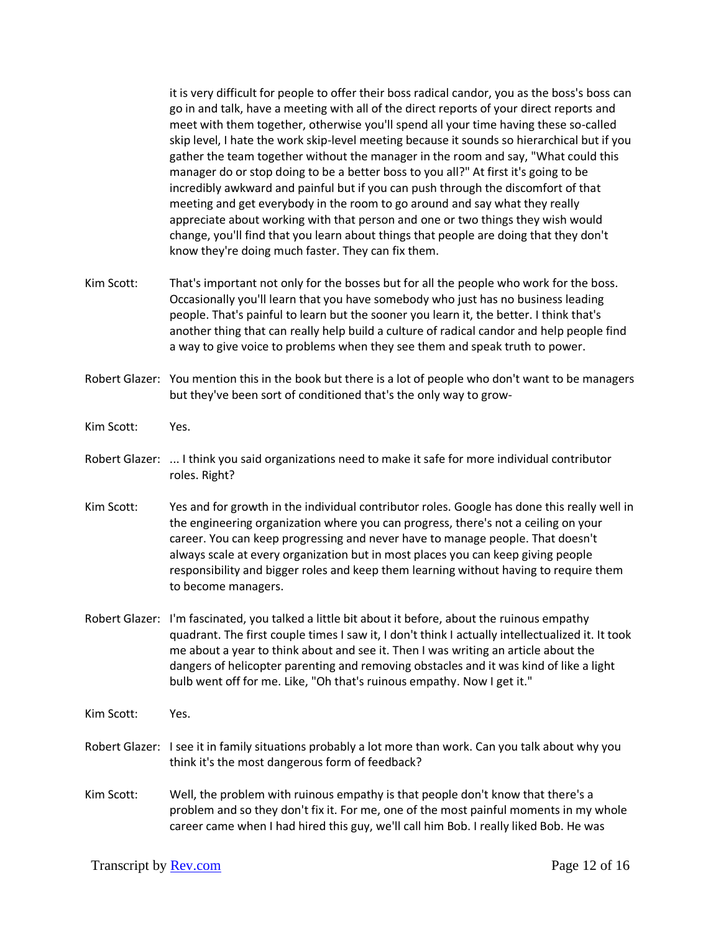it is very difficult for people to offer their boss radical candor, you as the boss's boss can go in and talk, have a meeting with all of the direct reports of your direct reports and meet with them together, otherwise you'll spend all your time having these so-called skip level, I hate the work skip-level meeting because it sounds so hierarchical but if you gather the team together without the manager in the room and say, "What could this manager do or stop doing to be a better boss to you all?" At first it's going to be incredibly awkward and painful but if you can push through the discomfort of that meeting and get everybody in the room to go around and say what they really appreciate about working with that person and one or two things they wish would change, you'll find that you learn about things that people are doing that they don't know they're doing much faster. They can fix them.

- Kim Scott: That's important not only for the bosses but for all the people who work for the boss. Occasionally you'll learn that you have somebody who just has no business leading people. That's painful to learn but the sooner you learn it, the better. I think that's another thing that can really help build a culture of radical candor and help people find a way to give voice to problems when they see them and speak truth to power.
- Robert Glazer: You mention this in the book but there is a lot of people who don't want to be managers but they've been sort of conditioned that's the only way to grow-
- Kim Scott: Yes.
- Robert Glazer: ... I think you said organizations need to make it safe for more individual contributor roles. Right?
- Kim Scott: Yes and for growth in the individual contributor roles. Google has done this really well in the engineering organization where you can progress, there's not a ceiling on your career. You can keep progressing and never have to manage people. That doesn't always scale at every organization but in most places you can keep giving people responsibility and bigger roles and keep them learning without having to require them to become managers.
- Robert Glazer: I'm fascinated, you talked a little bit about it before, about the ruinous empathy quadrant. The first couple times I saw it, I don't think I actually intellectualized it. It took me about a year to think about and see it. Then I was writing an article about the dangers of helicopter parenting and removing obstacles and it was kind of like a light bulb went off for me. Like, "Oh that's ruinous empathy. Now I get it."
- Kim Scott: Yes.
- Robert Glazer: I see it in family situations probably a lot more than work. Can you talk about why you think it's the most dangerous form of feedback?
- Kim Scott: Well, the problem with ruinous empathy is that people don't know that there's a problem and so they don't fix it. For me, one of the most painful moments in my whole career came when I had hired this guy, we'll call him Bob. I really liked Bob. He was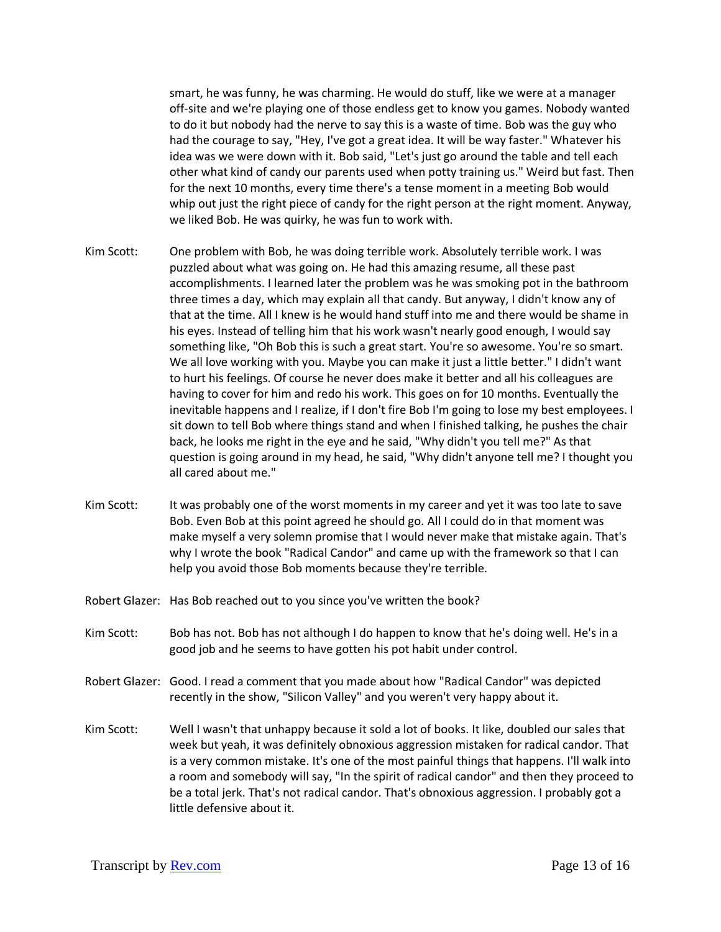smart, he was funny, he was charming. He would do stuff, like we were at a manager off-site and we're playing one of those endless get to know you games. Nobody wanted to do it but nobody had the nerve to say this is a waste of time. Bob was the guy who had the courage to say, "Hey, I've got a great idea. It will be way faster." Whatever his idea was we were down with it. Bob said, "Let's just go around the table and tell each other what kind of candy our parents used when potty training us." Weird but fast. Then for the next 10 months, every time there's a tense moment in a meeting Bob would whip out just the right piece of candy for the right person at the right moment. Anyway, we liked Bob. He was quirky, he was fun to work with.

- Kim Scott: One problem with Bob, he was doing terrible work. Absolutely terrible work. I was puzzled about what was going on. He had this amazing resume, all these past accomplishments. I learned later the problem was he was smoking pot in the bathroom three times a day, which may explain all that candy. But anyway, I didn't know any of that at the time. All I knew is he would hand stuff into me and there would be shame in his eyes. Instead of telling him that his work wasn't nearly good enough, I would say something like, "Oh Bob this is such a great start. You're so awesome. You're so smart. We all love working with you. Maybe you can make it just a little better." I didn't want to hurt his feelings. Of course he never does make it better and all his colleagues are having to cover for him and redo his work. This goes on for 10 months. Eventually the inevitable happens and I realize, if I don't fire Bob I'm going to lose my best employees. I sit down to tell Bob where things stand and when I finished talking, he pushes the chair back, he looks me right in the eye and he said, "Why didn't you tell me?" As that question is going around in my head, he said, "Why didn't anyone tell me? I thought you all cared about me."
- Kim Scott: It was probably one of the worst moments in my career and yet it was too late to save Bob. Even Bob at this point agreed he should go. All I could do in that moment was make myself a very solemn promise that I would never make that mistake again. That's why I wrote the book "Radical Candor" and came up with the framework so that I can help you avoid those Bob moments because they're terrible.
- Robert Glazer: Has Bob reached out to you since you've written the book?
- Kim Scott: Bob has not. Bob has not although I do happen to know that he's doing well. He's in a good job and he seems to have gotten his pot habit under control.
- Robert Glazer: Good. I read a comment that you made about how "Radical Candor" was depicted recently in the show, "Silicon Valley" and you weren't very happy about it.
- Kim Scott: Well I wasn't that unhappy because it sold a lot of books. It like, doubled our sales that week but yeah, it was definitely obnoxious aggression mistaken for radical candor. That is a very common mistake. It's one of the most painful things that happens. I'll walk into a room and somebody will say, "In the spirit of radical candor" and then they proceed to be a total jerk. That's not radical candor. That's obnoxious aggression. I probably got a little defensive about it.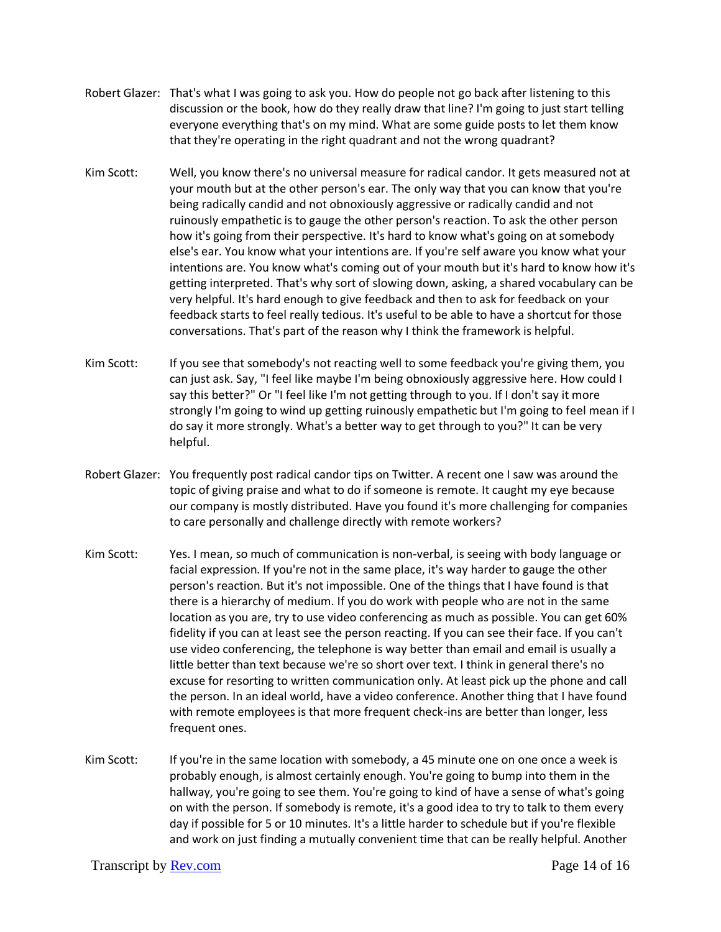- Robert Glazer: That's what I was going to ask you. How do people not go back after listening to this discussion or the book, how do they really draw that line? I'm going to just start telling everyone everything that's on my mind. What are some guide posts to let them know that they're operating in the right quadrant and not the wrong quadrant?
- Kim Scott: Well, you know there's no universal measure for radical candor. It gets measured not at your mouth but at the other person's ear. The only way that you can know that you're being radically candid and not obnoxiously aggressive or radically candid and not ruinously empathetic is to gauge the other person's reaction. To ask the other person how it's going from their perspective. It's hard to know what's going on at somebody else's ear. You know what your intentions are. If you're self aware you know what your intentions are. You know what's coming out of your mouth but it's hard to know how it's getting interpreted. That's why sort of slowing down, asking, a shared vocabulary can be very helpful. It's hard enough to give feedback and then to ask for feedback on your feedback starts to feel really tedious. It's useful to be able to have a shortcut for those conversations. That's part of the reason why I think the framework is helpful.
- Kim Scott: If you see that somebody's not reacting well to some feedback you're giving them, you can just ask. Say, "I feel like maybe I'm being obnoxiously aggressive here. How could I say this better?" Or "I feel like I'm not getting through to you. If I don't say it more strongly I'm going to wind up getting ruinously empathetic but I'm going to feel mean if I do say it more strongly. What's a better way to get through to you?" It can be very helpful.
- Robert Glazer: You frequently post radical candor tips on Twitter. A recent one I saw was around the topic of giving praise and what to do if someone is remote. It caught my eye because our company is mostly distributed. Have you found it's more challenging for companies to care personally and challenge directly with remote workers?
- Kim Scott: Yes. I mean, so much of communication is non-verbal, is seeing with body language or facial expression. If you're not in the same place, it's way harder to gauge the other person's reaction. But it's not impossible. One of the things that I have found is that there is a hierarchy of medium. If you do work with people who are not in the same location as you are, try to use video conferencing as much as possible. You can get 60% fidelity if you can at least see the person reacting. If you can see their face. If you can't use video conferencing, the telephone is way better than email and email is usually a little better than text because we're so short over text. I think in general there's no excuse for resorting to written communication only. At least pick up the phone and call the person. In an ideal world, have a video conference. Another thing that I have found with remote employees is that more frequent check-ins are better than longer, less frequent ones.
- Kim Scott: If you're in the same location with somebody, a 45 minute one on one once a week is probably enough, is almost certainly enough. You're going to bump into them in the hallway, you're going to see them. You're going to kind of have a sense of what's going on with the person. If somebody is remote, it's a good idea to try to talk to them every day if possible for 5 or 10 minutes. It's a little harder to schedule but if you're flexible and work on just finding a mutually convenient time that can be really helpful. Another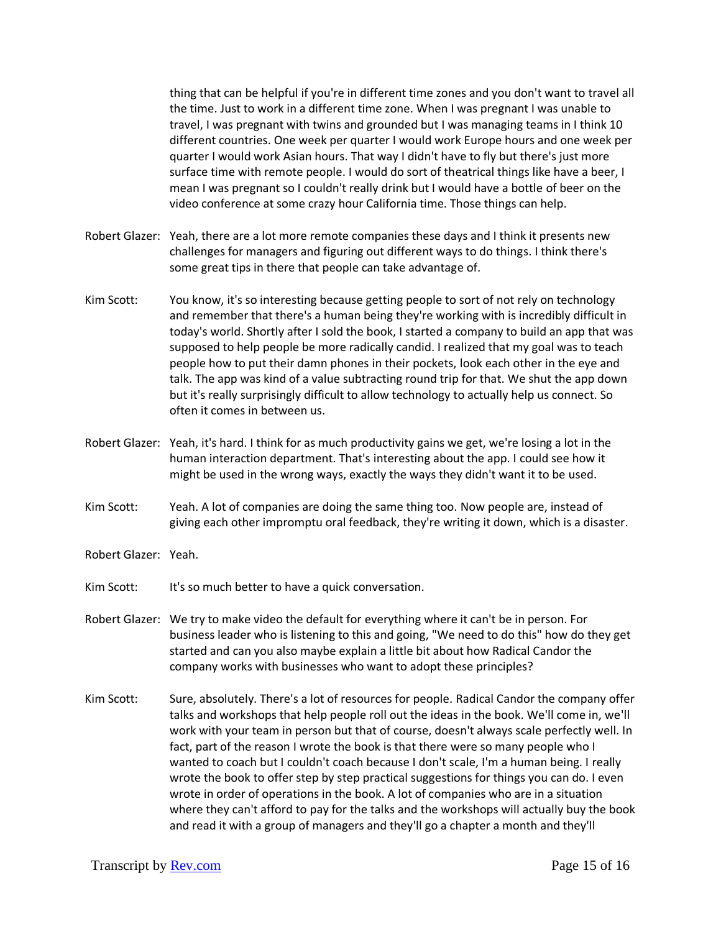thing that can be helpful if you're in different time zones and you don't want to travel all the time. Just to work in a different time zone. When I was pregnant I was unable to travel, I was pregnant with twins and grounded but I was managing teams in I think 10 different countries. One week per quarter I would work Europe hours and one week per quarter I would work Asian hours. That way I didn't have to fly but there's just more surface time with remote people. I would do sort of theatrical things like have a beer, I mean I was pregnant so I couldn't really drink but I would have a bottle of beer on the video conference at some crazy hour California time. Those things can help.

- Robert Glazer: Yeah, there are a lot more remote companies these days and I think it presents new challenges for managers and figuring out different ways to do things. I think there's some great tips in there that people can take advantage of.
- Kim Scott: You know, it's so interesting because getting people to sort of not rely on technology and remember that there's a human being they're working with is incredibly difficult in today's world. Shortly after I sold the book, I started a company to build an app that was supposed to help people be more radically candid. I realized that my goal was to teach people how to put their damn phones in their pockets, look each other in the eye and talk. The app was kind of a value subtracting round trip for that. We shut the app down but it's really surprisingly difficult to allow technology to actually help us connect. So often it comes in between us.
- Robert Glazer: Yeah, it's hard. I think for as much productivity gains we get, we're losing a lot in the human interaction department. That's interesting about the app. I could see how it might be used in the wrong ways, exactly the ways they didn't want it to be used.
- Kim Scott: Yeah. A lot of companies are doing the same thing too. Now people are, instead of giving each other impromptu oral feedback, they're writing it down, which is a disaster.
- Robert Glazer: Yeah.
- Kim Scott: It's so much better to have a quick conversation.
- Robert Glazer: We try to make video the default for everything where it can't be in person. For business leader who is listening to this and going, "We need to do this" how do they get started and can you also maybe explain a little bit about how Radical Candor the company works with businesses who want to adopt these principles?
- Kim Scott: Sure, absolutely. There's a lot of resources for people. Radical Candor the company offer talks and workshops that help people roll out the ideas in the book. We'll come in, we'll work with your team in person but that of course, doesn't always scale perfectly well. In fact, part of the reason I wrote the book is that there were so many people who I wanted to coach but I couldn't coach because I don't scale, I'm a human being. I really wrote the book to offer step by step practical suggestions for things you can do. I even wrote in order of operations in the book. A lot of companies who are in a situation where they can't afford to pay for the talks and the workshops will actually buy the book and read it with a group of managers and they'll go a chapter a month and they'll